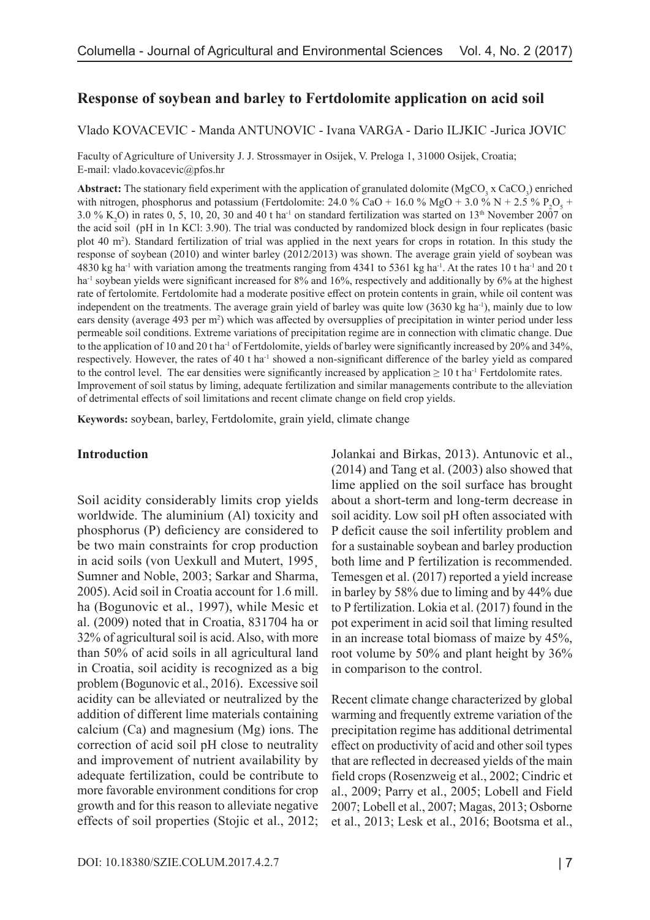# **Response of soybean and barley to Fertdolomite application on acid soil**

#### Vlado KOVACEVIC - Manda ANTUNOVIC - Ivana VARGA - Dario ILJKIC -Jurica JOVIC

Faculty of Agriculture of University J. J. Strossmayer in Osijek, V. Preloga 1, 31000 Osijek, Croatia; E-mail: vlado.kovacevic@pfos.hr

**Abstract:** The stationary field experiment with the application of granulated dolomite  $(MgCO<sub>3</sub> × CaCO<sub>3</sub>)$  enriched with nitrogen, phosphorus and potassium (Fertdolomite: 24.0 % CaO + 16.0 % MgO + 3.0 % N + 2.5 % P<sub>2</sub>O<sub>5</sub> + 3.0 %  $K_2$ O) in rates 0, 5, 10, 20, 30 and 40 t ha<sup>-1</sup> on standard fertilization was started on 13<sup>th</sup> November 2007 on the acid soil (pH in 1n KCl: 3.90). The trial was conducted by randomized block design in four replicates (basic plot 40 m2 ). Standard fertilization of trial was applied in the next years for crops in rotation. In this study the response of soybean (2010) and winter barley (2012/2013) was shown. The average grain yield of soybean was 4830 kg ha<sup>-1</sup> with variation among the treatments ranging from 4341 to 5361 kg ha<sup>-1</sup>. At the rates 10 t ha<sup>-1</sup> and 20 t ha<sup>-1</sup> soybean yields were significant increased for 8% and 16%, respectively and additionally by 6% at the highest rate of fertolomite. Fertdolomite had a moderate positive effect on protein contents in grain, while oil content was independent on the treatments. The average grain yield of barley was quite low (3630 kg ha<sup>-1</sup>), mainly due to low ears density (average 493 per m<sup>2</sup>) which was affected by oversupplies of precipitation in winter period under less permeable soil conditions. Extreme variations of precipitation regime are in connection with climatic change. Due to the application of 10 and 20 t ha-1 of Fertdolomite, yields of barley were significantly increased by 20% and 34%, respectively. However, the rates of 40 t ha-1 showed a non-significant difference of the barley yield as compared to the control level. The ear densities were significantly increased by application  $\geq 10$  t ha<sup>-1</sup> Fertdolomite rates. Improvement of soil status by liming, adequate fertilization and similar managements contribute to the alleviation of detrimental effects of soil limitations and recent climate change on field crop yields.

**Keywords:** soybean, barley, Fertdolomite, grain yield, climate change

#### **Introduction**

Soil acidity considerably limits crop yields worldwide. The aluminium (Al) toxicity and phosphorus (P) deficiency are considered to be two main constraints for crop production in acid soils (von Uexkull and Mutert, 1995¸ Sumner and Noble, 2003; Sarkar and Sharma, 2005). Acid soil in Croatia account for 1.6 mill. ha (Bogunovic et al., 1997), while Mesic et al. (2009) noted that in Croatia, 831704 ha or 32% of agricultural soil is acid. Also, with more than 50% of acid soils in all agricultural land in Croatia, soil acidity is recognized as a big problem (Bogunovic et al., 2016). Excessive soil acidity can be alleviated or neutralized by the addition of different lime materials containing calcium (Ca) and magnesium (Mg) ions. The correction of acid soil pH close to neutrality and improvement of nutrient availability by adequate fertilization, could be contribute to more favorable environment conditions for crop growth and for this reason to alleviate negative effects of soil properties (Stojic et al., 2012; Jolankai and Birkas, 2013). Antunovic et al., (2014) and Tang et al. (2003) also showed that lime applied on the soil surface has brought about a short-term and long-term decrease in soil acidity. Low soil pH often associated with P deficit cause the soil infertility problem and for a sustainable soybean and barley production both lime and P fertilization is recommended. Temesgen et al. (2017) reported a yield increase in barley by 58% due to liming and by 44% due to P fertilization. Lokia et al. (2017) found in the pot experiment in acid soil that liming resulted in an increase total biomass of maize by 45%, root volume by 50% and plant height by 36% in comparison to the control.

Recent climate change characterized by global warming and frequently extreme variation of the precipitation regime has additional detrimental effect on productivity of acid and other soil types that are reflected in decreased yields of the main field crops (Rosenzweig et al., 2002; Cindric et al., 2009; Parry et al., 2005; Lobell and Field 2007; Lobell et al., 2007; Magas, 2013; Osborne et al., 2013; Lesk et al., 2016; Bootsma et al.,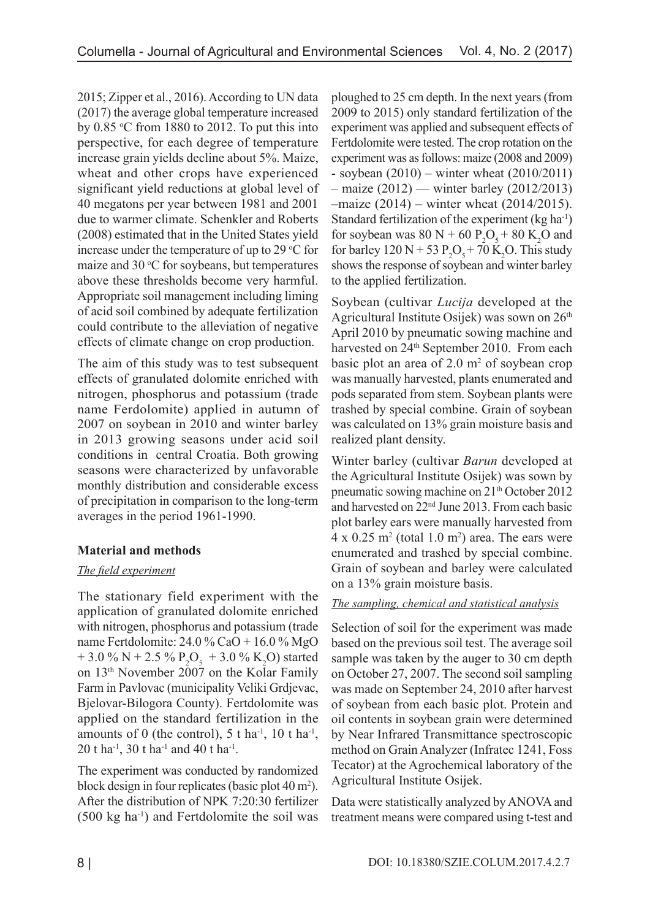2015; Zipper et al., 2016). According to UN data (2017) the average global temperature increased by  $0.85 \text{ °C}$  from 1880 to 2012. To put this into perspective, for each degree of temperature increase grain yields decline about 5%. Maize, wheat and other crops have experienced significant yield reductions at global level of 40 megatons per year between 1981 and 2001 due to warmer climate. Schenkler and Roberts (2008) estimated that in the United States yield increase under the temperature of up to 29  $\mathrm{^{\circ}C}$  for maize and  $30^{\circ}$ C for soybeans, but temperatures above these thresholds become very harmful. Appropriate soil management including liming of acid soil combined by adequate fertilization could contribute to the alleviation of negative effects of climate change on crop production.

The aim of this study was to test subsequent effects of granulated dolomite enriched with nitrogen, phosphorus and potassium (trade name Ferdolomite) applied in autumn of 2007 on soybean in 2010 and winter barley in 2013 growing seasons under acid soil conditions in central Croatia. Both growing seasons were characterized by unfavorable monthly distribution and considerable excess of precipitation in comparison to the long-term averages in the period 1961-1990.

# **Material and methods**

# *The field experiment*

The stationary field experiment with the application of granulated dolomite enriched with nitrogen, phosphorus and potassium (trade name Fertdolomite: 24.0 % CaO + 16.0 % MgO + 3.0 % N + 2.5 %  $P_2O_5$  + 3.0 % K<sub>2</sub>O) started on 13th November 2007 on the Kolar Family Farm in Pavlovac (municipality Veliki Grdjevac, Bjelovar-Bilogora County). Fertdolomite was applied on the standard fertilization in the amounts of 0 (the control),  $5$  t ha<sup>-1</sup>,  $10$  t ha<sup>-1</sup>, 20 t ha<sup>-1</sup>, 30 t ha<sup>-1</sup> and 40 t ha<sup>-1</sup>.

The experiment was conducted by randomized block design in four replicates (basic plot 40 m<sup>2</sup>). After the distribution of NPK 7:20:30 fertilizer  $(500 \text{ kg ha}^{-1})$  and Fertdolomite the soil was

ploughed to 25 cm depth. In the next years (from 2009 to 2015) only standard fertilization of the experiment was applied and subsequent effects of Fertdolomite were tested. The crop rotation on the experiment was as follows: maize (2008 and 2009)  $-$  soybean (2010) – winter wheat (2010/2011)  $-$  maize (2012) — winter barley (2012/2013) –maize (2014) – winter wheat (2014/2015). Standard fertilization of the experiment  $(kg ha<sup>-1</sup>)$ for soybean was  $80 \text{ N} + 60 \text{ P}_2\text{O}_5 + 80 \text{ K}_2\text{O}$  and for barley  $120 \text{ N} + 53 \text{ P}_2\text{O}_5 + 70 \text{ K}_2\text{O}$ . This study shows the response of soybean and winter barley to the applied fertilization.

Soybean (cultivar *Lucija* developed at the Agricultural Institute Osijek) was sown on  $26<sup>th</sup>$ April 2010 by pneumatic sowing machine and harvested on 24<sup>th</sup> September 2010. From each basic plot an area of  $2.0 \text{ m}^2$  of soybean crop was manually harvested, plants enumerated and pods separated from stem. Soybean plants were trashed by special combine. Grain of soybean was calculated on 13% grain moisture basis and realized plant density.

Winter barley (cultivar *Barun* developed at the Agricultural Institute Osijek) was sown by pneumatic sowing machine on 21<sup>th</sup> October 2012 and harvested on 22nd June 2013. From each basic plot barley ears were manually harvested from  $4 \times 0.25$  m<sup>2</sup> (total 1.0 m<sup>2</sup>) area. The ears were enumerated and trashed by special combine. Grain of soybean and barley were calculated on a 13% grain moisture basis.

### *The sampling, chemical and statistical analysis*

Selection of soil for the experiment was made based on the previous soil test. The average soil sample was taken by the auger to 30 cm depth on October 27, 2007. The second soil sampling was made on September 24, 2010 after harvest of soybean from each basic plot. Protein and oil contents in soybean grain were determined by Near Infrared Transmittance spectroscopic method on Grain Analyzer (Infratec 1241, Foss Tecator) at the Agrochemical laboratory of the Agricultural Institute Osijek.

Data were statistically analyzed by ANOVA and treatment means were compared using t-test and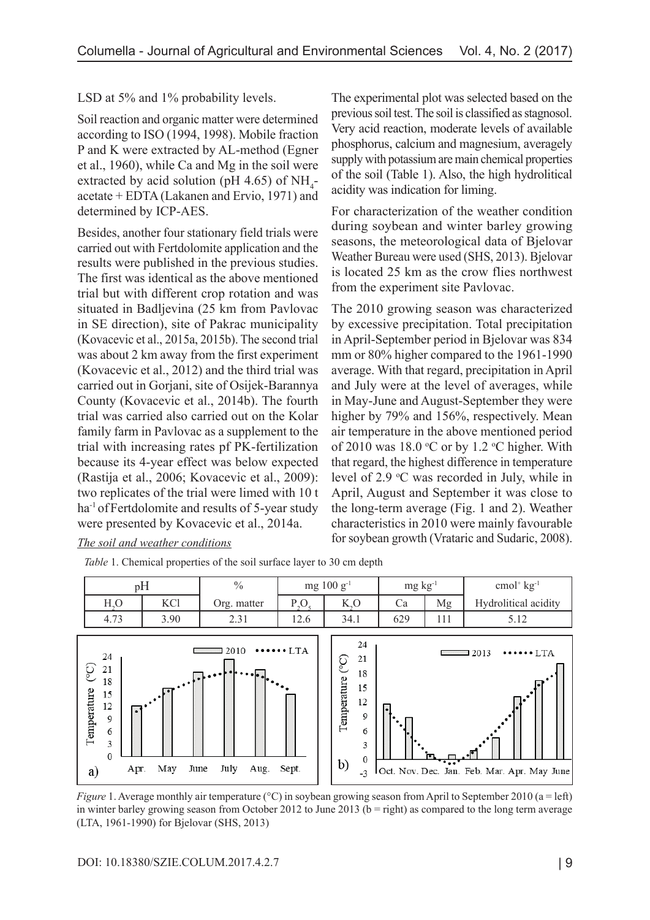LSD at 5% and 1% probability levels.

Soil reaction and organic matter were determined according to ISO (1994, 1998). Mobile fraction P and K were extracted by AL-method (Egner et al., 1960), while Ca and Mg in the soil were extracted by acid solution (pH 4.65) of  $NH_4$ acetate + EDTA (Lakanen and Ervio, 1971) and determined by ICP-AES.

Besides, another four stationary field trials were carried out with Fertdolomite application and the results were published in the previous studies. The first was identical as the above mentioned trial but with different crop rotation and was situated in Badljevina (25 km from Pavlovac in SE direction), site of Pakrac municipality (Kovacevic et al., 2015a, 2015b). The second trial was about 2 km away from the first experiment (Kovacevic et al., 2012) and the third trial was carried out in Gorjani, site of Osijek-Barannya County (Kovacevic et al., 2014b). The fourth trial was carried also carried out on the Kolar family farm in Pavlovac as a supplement to the trial with increasing rates pf PK-fertilization because its 4-year effect was below expected (Rastija et al., 2006; Kovacevic et al., 2009): two replicates of the trial were limed with 10 t ha-1 ofFertdolomite and results of 5-year study were presented by Kovacevic et al., 2014a.

*Table* 1. Chemical properties of the soil surface layer to 30 cm depth

The experimental plot was selected based on the previous soil test. The soil is classified as stagnosol. Very acid reaction, moderate levels of available phosphorus, calcium and magnesium, averagely supply with potassium are main chemical properties of the soil (Table 1). Also, the high hydrolitical acidity was indication for liming.

For characterization of the weather condition during soybean and winter barley growing seasons, the meteorological data of Bjelovar Weather Bureau were used (SHS, 2013). Bjelovar is located 25 km as the crow flies northwest from the experiment site Pavlovac.

The 2010 growing season was characterized by excessive precipitation. Total precipitation in April-September period in Bjelovar was 834 mm or 80% higher compared to the 1961-1990 average. With that regard, precipitation in April and July were at the level of averages, while in May-June and August-September they were higher by 79% and 156%, respectively. Mean air temperature in the above mentioned period of 2010 was  $18.0$  °C or by 1.2 °C higher. With that regard, the highest difference in temperature level of 2.9 °C was recorded in July, while in April, August and September it was close to the long-term average (Fig. 1 and 2). Weather characteristics in 2010 were mainly favourable for soybean growth (Vrataric and Sudaric, 2008).



#### *The soil and weather conditions*

*Figure* 1. Average monthly air temperature (°C) in soybean growing season from April to September 2010 (a = left) in winter barley growing season from October 2012 to June 2013 ( $b =$  right) as compared to the long term average (LTA, 1961-1990) for Bjelovar (SHS, 2013)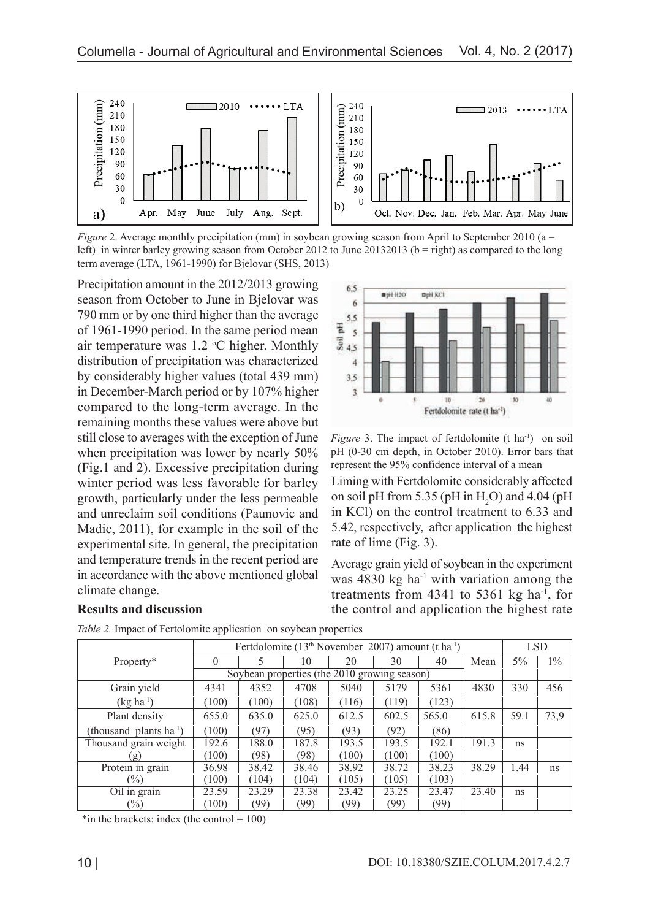

*Figure* 2. Average monthly precipitation (mm) in soybean growing season from April to September 2010 (a = left) in winter barley growing season from October 2012 to June 20132013 ( $b =$  right) as compared to the long term average (LTA, 1961-1990) for Bjelovar (SHS, 2013)

Precipitation amount in the 2012/2013 growing season from October to June in Bjelovar was 790 mm or by one third higher than the average of 1961-1990 period. In the same period mean air temperature was  $1.2 \text{ °C}$  higher. Monthly distribution of precipitation was characterized by considerably higher values (total 439 mm) in December-March period or by 107% higher compared to the long-term average. In the remaining months these values were above but still close to averages with the exception of June when precipitation was lower by nearly 50% (Fig.1 and 2). Excessive precipitation during winter period was less favorable for barley growth, particularly under the less permeable and unreclaim soil conditions (Paunovic and Madic, 2011), for example in the soil of the experimental site. In general, the precipitation and temperature trends in the recent period are in accordance with the above mentioned global climate change.



*Figure* 3. The impact of fertdolomite (t ha<sup>-1</sup>) on soil pH (0-30 cm depth, in October 2010). Error bars that represent the 95% confidence interval of a mean

Liming with Fertdolomite considerably affected on soil pH from 5.35 (pH in  $H_2O$ ) and 4.04 (pH in KCl) on the control treatment to 6.33 and 5.42, respectively, after application the highest rate of lime (Fig. 3).

Average grain yield of soybean in the experiment was  $4830 \text{ kg}$  ha<sup>-1</sup> with variation among the treatments from  $4341$  to  $5361$  kg ha<sup>-1</sup>, for the control and application the highest rate

|                              | Fertdolomite ( $13th$ November 2007) amount (t ha <sup>-1</sup> ) |       |       |       |       |       |       | <b>LSD</b> |       |
|------------------------------|-------------------------------------------------------------------|-------|-------|-------|-------|-------|-------|------------|-------|
| Property*                    | $\mathbf{\Omega}$                                                 |       | 10    | 20    | 30    | 40    | Mean  | $5\%$      | $1\%$ |
|                              | Soybean properties (the 2010 growing season)                      |       |       |       |       |       |       |            |       |
| Grain yield                  | 4341                                                              | 4352  | 4708  | 5040  | 5179  | 5361  | 4830  | 330        | 456   |
| $(kg ha^{-1})$               | (100)                                                             | (100) | (108) | (116) | (119) | (123) |       |            |       |
| Plant density                | 655.0                                                             | 635.0 | 625.0 | 612.5 | 602.5 | 565.0 | 615.8 | 59.1       | 73,9  |
| (thousand plants $ha^{-1}$ ) | (100)                                                             | (97)  | (95)  | (93)  | (92)  | (86)  |       |            |       |
| Thousand grain weight        | 192.6                                                             | 188.0 | 187.8 | 193.5 | 193.5 | 192.1 | 191.3 | ns         |       |
| g)                           | (100)                                                             | (98)  | (98)  | (100) | (100) | (100) |       |            |       |
| Protein in grain             | 36.98                                                             | 38.42 | 38.46 | 38.92 | 38.72 | 38.23 | 38.29 | 1.44       | ns    |
| $\frac{1}{2}$                | (100)                                                             | (104) | (104) | (105) | (105) | (103) |       |            |       |
| Oil in grain                 | 23.59                                                             | 23.29 | 23.38 | 23.42 | 23.25 | 23.47 | 23.40 | ns         |       |
| $\frac{1}{2}$                | (100)                                                             | (99)  | (99)  | (99)  | (99)  | (99)  |       |            |       |

*Table 2.* Impact of Fertolomite application on soybean properties

\*in the brackets: index (the control =  $100$ )

**Results and discussion**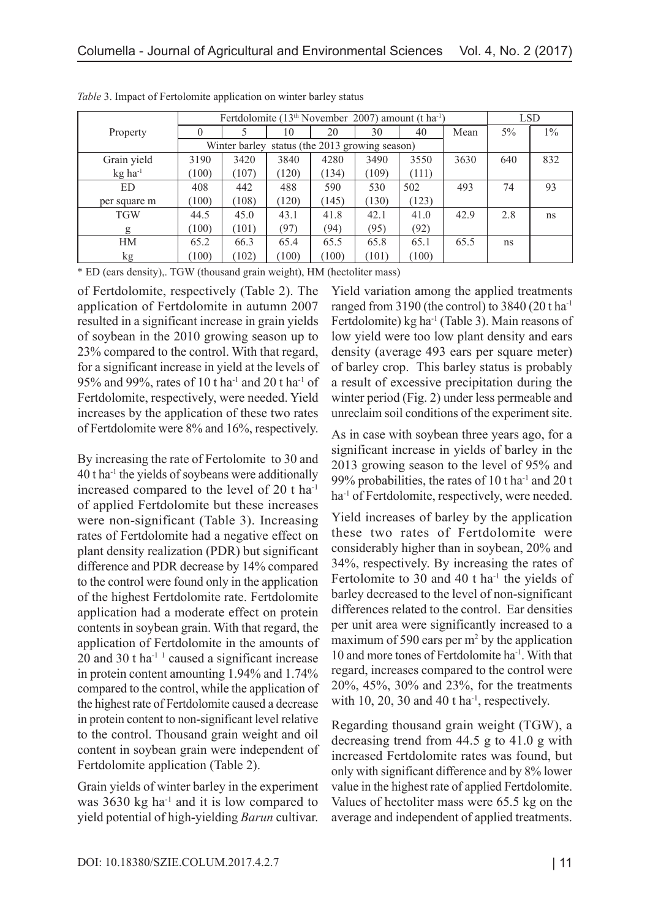|                       |                                                | Fertdolomite (13 <sup>th</sup> November 2007) amount (t ha <sup>-1</sup> ) |       |       |       |       |      | <b>LSD</b> |       |
|-----------------------|------------------------------------------------|----------------------------------------------------------------------------|-------|-------|-------|-------|------|------------|-------|
| Property              | $\theta$                                       |                                                                            | 10    | 20    | 30    | 40    | Mean | $5\%$      | $1\%$ |
|                       | Winter barley status (the 2013 growing season) |                                                                            |       |       |       |       |      |            |       |
| Grain yield           | 3190                                           | 3420                                                                       | 3840  | 4280  | 3490  | 3550  | 3630 | 640        | 832   |
| $kg$ ha <sup>-1</sup> | (100)                                          | (107)                                                                      | (120) | (134) | (109) | (111) |      |            |       |
| ED                    | 408                                            | 442                                                                        | 488   | 590   | 530   | 502   | 493  | 74         | 93    |
| per square m          | (100)                                          | (108)                                                                      | (120) | (145) | (130) | (123) |      |            |       |
| <b>TGW</b>            | 44.5                                           | 45.0                                                                       | 43.1  | 41.8  | 42.1  | 41.0  | 42.9 | 2.8        | ns    |
| g                     | (100)                                          | (101)                                                                      | (97)  | (94)  | (95)  | (92)  |      |            |       |
| HM                    | 65.2                                           | 66.3                                                                       | 65.4  | 65.5  | 65.8  | 65.1  | 65.5 | ns         |       |
| kg                    | (100)                                          | (102)                                                                      | (100) | (100) | (101) | (100) |      |            |       |

*Table* 3. Impact of Fertolomite application on winter barley status

\* ED (ears density),. TGW (thousand grain weight), HM (hectoliter mass)

of Fertdolomite, respectively (Table 2). The application of Fertdolomite in autumn 2007 resulted in a significant increase in grain yields of soybean in the 2010 growing season up to 23% compared to the control. With that regard, for a significant increase in yield at the levels of 95% and 99%, rates of 10 t ha-1 and 20 t ha-1 of Fertdolomite, respectively, were needed. Yield increases by the application of these two rates of Fertdolomite were 8% and 16%, respectively.

By increasing the rate of Fertolomite to 30 and  $40$  t ha<sup>-1</sup> the yields of soybeans were additionally increased compared to the level of 20 t ha-1 of applied Fertdolomite but these increases were non-significant (Table 3). Increasing rates of Fertdolomite had a negative effect on plant density realization (PDR) but significant difference and PDR decrease by 14% compared to the control were found only in the application of the highest Fertdolomite rate. Fertdolomite application had a moderate effect on protein contents in soybean grain. With that regard, the application of Fertdolomite in the amounts of 20 and 30 t ha<sup>-1 1</sup> caused a significant increase in protein content amounting 1.94% and 1.74% compared to the control, while the application of the highest rate of Fertdolomite caused a decrease in protein content to non-significant level relative to the control. Thousand grain weight and oil content in soybean grain were independent of Fertdolomite application (Table 2).

Grain yields of winter barley in the experiment was  $3630 \text{ kg}$  ha<sup>-1</sup> and it is low compared to yield potential of high-yielding *Barun* cultivar.

Yield variation among the applied treatments ranged from 3190 (the control) to 3840 (20 t ha-1 Fertdolomite) kg ha<sup>-1</sup> (Table 3). Main reasons of low yield were too low plant density and ears density (average 493 ears per square meter) of barley crop. This barley status is probably a result of excessive precipitation during the winter period (Fig. 2) under less permeable and unreclaim soil conditions of the experiment site.

As in case with soybean three years ago, for a significant increase in yields of barley in the 2013 growing season to the level of 95% and 99% probabilities, the rates of 10 t ha<sup>-1</sup> and 20 t ha<sup>-1</sup> of Fertdolomite, respectively, were needed.

Yield increases of barley by the application these two rates of Fertdolomite were considerably higher than in soybean, 20% and 34%, respectively. By increasing the rates of Fertolomite to 30 and 40 t ha<sup>-1</sup> the yields of barley decreased to the level of non-significant differences related to the control. Ear densities per unit area were significantly increased to a maximum of 590 ears per  $m^2$  by the application 10 and more tones of Fertdolomite ha-1. With that regard, increases compared to the control were 20%, 45%, 30% and 23%, for the treatments with 10, 20, 30 and 40 t ha<sup>-1</sup>, respectively.

Regarding thousand grain weight (TGW), a decreasing trend from 44.5 g to 41.0 g with increased Fertdolomite rates was found, but only with significant difference and by 8% lower value in the highest rate of applied Fertdolomite. Values of hectoliter mass were 65.5 kg on the average and independent of applied treatments.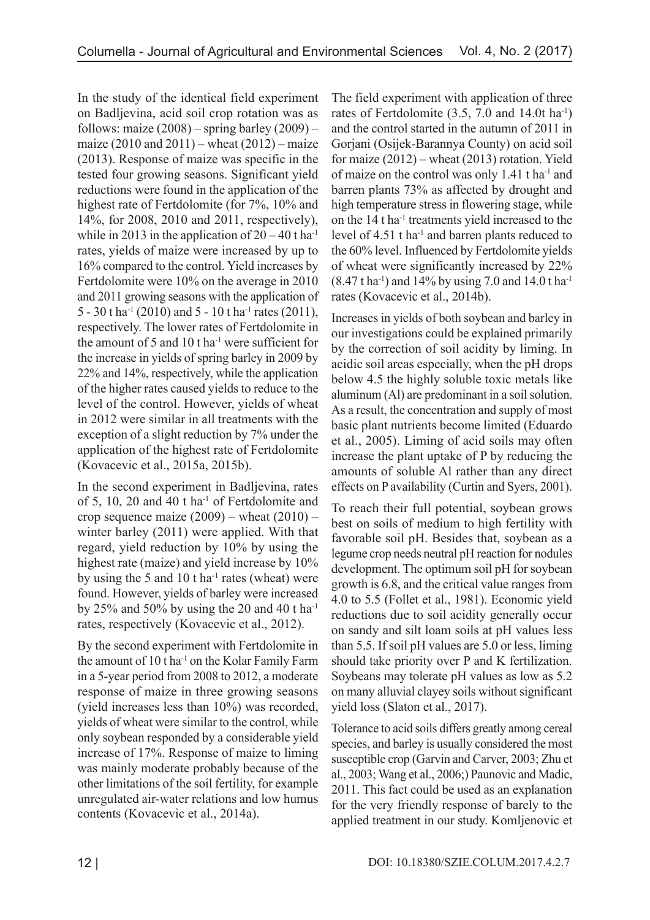In the study of the identical field experiment on Badljevina, acid soil crop rotation was as follows: maize  $(2008)$  – spring barley  $(2009)$  – maize  $(2010 \text{ and } 2011)$  – wheat  $(2012)$  – maize (2013). Response of maize was specific in the tested four growing seasons. Significant yield reductions were found in the application of the highest rate of Fertdolomite (for 7%, 10% and 14%, for 2008, 2010 and 2011, respectively), while in 2013 in the application of  $20 - 40$  t ha<sup>-1</sup> rates, yields of maize were increased by up to 16% compared to the control. Yield increases by Fertdolomite were 10% on the average in 2010 and 2011 growing seasons with the application of 5 - 30 t ha<sup>-1</sup> (2010) and 5 - 10 t ha<sup>-1</sup> rates (2011), respectively. The lower rates of Fertdolomite in the amount of 5 and 10 t ha<sup>-1</sup> were sufficient for the increase in yields of spring barley in 2009 by 22% and 14%, respectively, while the application of the higher rates caused yields to reduce to the level of the control. However, yields of wheat in 2012 were similar in all treatments with the exception of a slight reduction by 7% under the application of the highest rate of Fertdolomite (Kovacevic et al., 2015a, 2015b).

In the second experiment in Badljevina, rates of 5, 10, 20 and 40 t ha-1 of Fertdolomite and crop sequence maize  $(2009)$  – wheat  $(2010)$  – winter barley (2011) were applied. With that regard, yield reduction by 10% by using the highest rate (maize) and yield increase by 10% by using the 5 and 10 t ha<sup>-1</sup> rates (wheat) were found. However, yields of barley were increased by 25% and 50% by using the 20 and 40 t ha<sup>-1</sup> rates, respectively (Kovacevic et al., 2012).

By the second experiment with Fertdolomite in the amount of  $10$  t ha<sup>-1</sup> on the Kolar Family Farm in a 5-year period from 2008 to 2012, a moderate response of maize in three growing seasons (yield increases less than 10%) was recorded, yields of wheat were similar to the control, while only soybean responded by a considerable yield increase of 17%. Response of maize to liming was mainly moderate probably because of the other limitations of the soil fertility, for example unregulated air-water relations and low humus contents (Kovacevic et al., 2014a).

The field experiment with application of three rates of Fertdolomite (3.5, 7.0 and 14.0t ha-1) and the control started in the autumn of 2011 in Gorjani (Osijek-Barannya County) on acid soil for maize (2012) – wheat (2013) rotation. Yield of maize on the control was only 1.41 t ha-1 and barren plants 73% as affected by drought and high temperature stress in flowering stage, while on the 14 t ha-1 treatments yield increased to the level of 4.51 t ha<sup>-1</sup> and barren plants reduced to the 60% level. Influenced by Fertdolomite yields of wheat were significantly increased by 22%  $(8.47 \text{ t} \text{ ha}^{-1})$  and 14% by using 7.0 and 14.0 t ha<sup>-1</sup> rates (Kovacevic et al., 2014b).

Increases in yields of both soybean and barley in our investigations could be explained primarily by the correction of soil acidity by liming. In acidic soil areas especially, when the pH drops below 4.5 the highly soluble toxic metals like aluminum (Al) are predominant in a soil solution. As a result, the concentration and supply of most basic plant nutrients become limited (Eduardo et al., 2005). Liming of acid soils may often increase the plant uptake of P by reducing the amounts of soluble Al rather than any direct effects on P availability (Curtin and Syers, 2001).

To reach their full potential, soybean grows best on soils of medium to high fertility with favorable soil pH. Besides that, soybean as a legume crop needs neutral pH reaction for nodules development. The optimum soil pH for soybean growth is 6.8, and the critical value ranges from 4.0 to 5.5 (Follet et al., 1981). Economic yield reductions due to soil acidity generally occur on sandy and silt loam soils at pH values less than 5.5. If soil pH values are 5.0 or less, liming should take priority over P and K fertilization. Soybeans may tolerate pH values as low as 5.2 on many alluvial clayey soils without significant yield loss (Slaton et al., 2017).

Tolerance to acid soils differs greatly among cereal species, and barley is usually considered the most susceptible crop (Garvin and Carver, 2003; Zhu et al., 2003; Wang et al., 2006;) Paunovic and Madic, 2011. This fact could be used as an explanation for the very friendly response of barely to the applied treatment in our study. Komljenovic et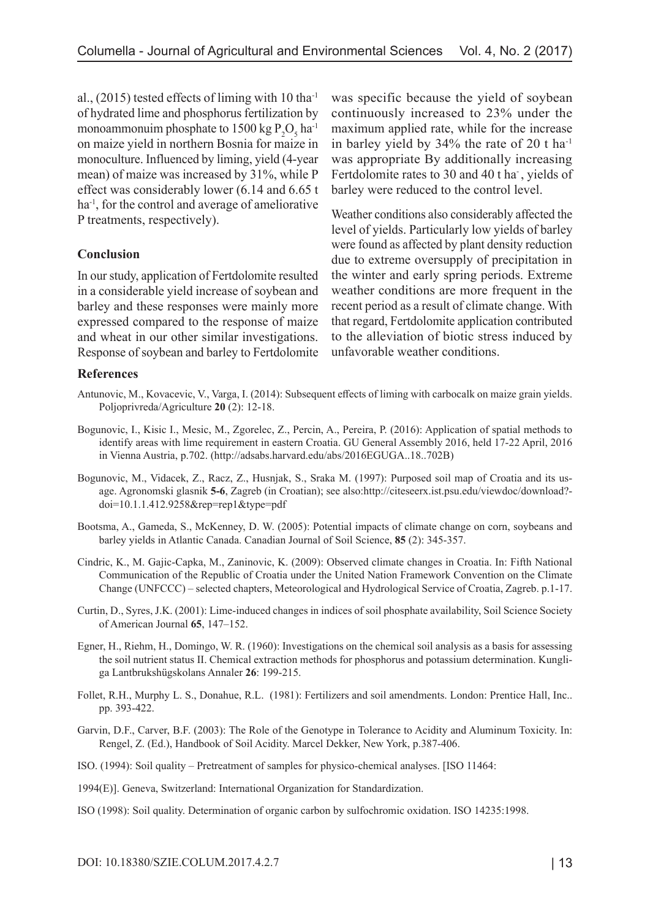al.,  $(2015)$  tested effects of liming with 10 tha<sup>-1</sup> of hydrated lime and phosphorus fertilization by monoammonuim phosphate to  $1500 \text{ kg } P_2O_5 \text{ ha}^{-1}$ on maize yield in northern Bosnia for maize in monoculture. Influenced by liming, yield (4-year mean) of maize was increased by 31%, while P effect was considerably lower (6.14 and 6.65 t ha-1, for the control and average of ameliorative P treatments, respectively).

### **Conclusion**

In our study, application of Fertdolomite resulted in a considerable yield increase of soybean and barley and these responses were mainly more expressed compared to the response of maize and wheat in our other similar investigations. Response of soybean and barley to Fertdolomite was specific because the yield of soybean continuously increased to 23% under the maximum applied rate, while for the increase in barley yield by 34% the rate of 20 t ha-1 was appropriate By additionally increasing Fertdolomite rates to 30 and 40 t ha-, yields of barley were reduced to the control level.

Weather conditions also considerably affected the level of yields. Particularly low yields of barley were found as affected by plant density reduction due to extreme oversupply of precipitation in the winter and early spring periods. Extreme weather conditions are more frequent in the recent period as a result of climate change. With that regard, Fertdolomite application contributed to the alleviation of biotic stress induced by unfavorable weather conditions.

### **References**

- Antunovic, M., Kovacevic, V., Varga, I. (2014): Subsequent effects of liming with carbocalk on maize grain yields. Poljoprivreda/Agriculture **20** (2): 12-18.
- Bogunovic, I., Kisic I., Mesic, M., Zgorelec, Z., Percin, A., Pereira, P. (2016): Application of spatial methods to identify areas with lime requirement in eastern Croatia. GU General Assembly 2016, held 17-22 April, 2016 in Vienna Austria, p.702. (http://adsabs.harvard.edu/abs/2016EGUGA..18..702B)
- Bogunovic, M., Vidacek, Z., Racz, Z., Husnjak, S., Sraka M. (1997): Purposed soil map of Croatia and its usage. Agronomski glasnik **5-6**, Zagreb (in Croatian); see also:http://citeseerx.ist.psu.edu/viewdoc/download? doi=10.1.1.412.9258&rep=rep1&type=pdf
- Bootsma, A., Gameda, S., McKenney, D. W. (2005): Potential impacts of climate change on corn, soybeans and barley yields in Atlantic Canada. Canadian Journal of Soil Science, **85** (2): 345-357.
- Cindric, K., M. Gajic-Capka, M., Zaninovic, K. (2009): Observed climate changes in Croatia. In: Fifth National Communication of the Republic of Croatia under the United Nation Framework Convention on the Climate Change (UNFCCC) – selected chapters, Meteorological and Hydrological Service of Croatia, Zagreb. p.1-17.
- Curtin, D., Syres, J.K. (2001): Lime-induced changes in indices of soil phosphate availability, Soil Science Society of American Journal **65**, 147–152.
- Egner, H., Riehm, H., Domingo, W. R. (1960): Investigations on the chemical soil analysis as a basis for assessing the soil nutrient status II. Chemical extraction methods for phosphorus and potassium determination. Kungliga Lantbrukshügskolans Annaler **26**: 199-215.
- Follet, R.H., Murphy L. S., Donahue, R.L. (1981): Fertilizers and soil amendments. London: Prentice Hall, Inc.. pp. 393-422.
- Garvin, D.F., Carver, B.F. (2003): The Role of the Genotype in Tolerance to Acidity and Aluminum Toxicity. In: Rengel, Z. (Ed.), Handbook of Soil Acidity. Marcel Dekker, New York, p.387-406.
- ISO. (1994): Soil quality Pretreatment of samples for physico-chemical analyses. [ISO 11464:
- 1994(E)]. Geneva, Switzerland: International Organization for Standardization.
- ISO (1998): Soil quality. Determination of organic carbon by sulfochromic oxidation. ISO 14235:1998.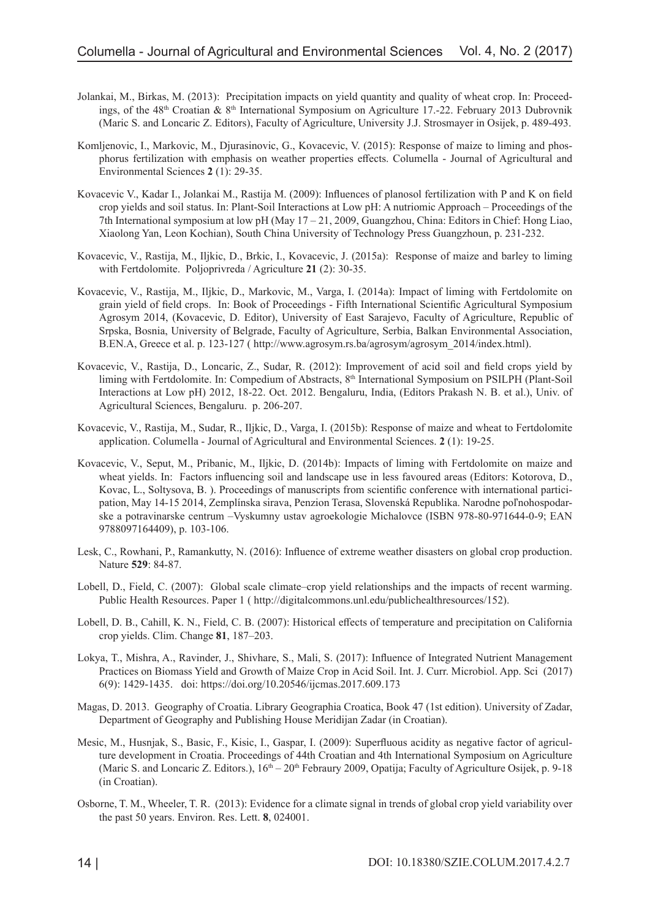- Jolankai, M., Birkas, M. (2013): Precipitation impacts on yield quantity and quality of wheat crop. In: Proceedings, of the  $48<sup>th</sup>$  Croatian &  $8<sup>th</sup>$  International Symposium on Agriculture 17.-22. February 2013 Dubrovnik (Maric S. and Loncaric Z. Editors), Faculty of Agriculture, University J.J. Strosmayer in Osijek, p. 489-493.
- Komljenovic, I., Markovic, M., Djurasinovic, G., Kovacevic, V. (2015): Response of maize to liming and phosphorus fertilization with emphasis on weather properties effects. Columella - Journal of Agricultural and Environmental Sciences **2** (1): 29-35.
- Kovacevic V., Kadar I., Jolankai M., Rastija M. (2009): Influences of planosol fertilization with P and K on field crop yields and soil status. In: Plant-Soil Interactions at Low pH: A nutriomic Approach – Proceedings of the 7th International symposium at low pH (May 17 – 21, 2009, Guangzhou, China: Editors in Chief: Hong Liao, Xiaolong Yan, Leon Kochian), South China University of Technology Press Guangzhoun, p. 231-232.
- Kovacevic, V., Rastija, M., Iljkic, D., Brkic, I., Kovacevic, J. (2015a): Response of maize and barley to liming with Fertdolomite. Poljoprivreda / Agriculture **21** (2): 30-35.
- Kovacevic, V., Rastija, M., Iljkic, D., Markovic, M., Varga, I. (2014a): Impact of liming with Fertdolomite on grain yield of field crops. In: Book of Proceedings - Fifth International Scientific Agricultural Symposium Agrosym 2014, (Kovacevic, D. Editor), University of East Sarajevo, Faculty of Agriculture, Republic of Srpska, Bosnia, University of Belgrade, Faculty of Agriculture, Serbia, Balkan Environmental Association, B.EN.A, Greece et al. p. 123-127 ( http://www.agrosym.rs.ba/agrosym/agrosym\_2014/index.html).
- Kovacevic, V., Rastija, D., Loncaric, Z., Sudar, R. (2012): Improvement of acid soil and field crops yield by liming with Fertdolomite. In: Compedium of Abstracts, 8<sup>th</sup> International Symposium on PSILPH (Plant-Soil Interactions at Low pH) 2012, 18-22. Oct. 2012. Bengaluru, India, (Editors Prakash N. B. et al.), Univ. of Agricultural Sciences, Bengaluru. p. 206-207.
- Kovacevic, V., Rastija, M., Sudar, R., Iljkic, D., Varga, I. (2015b): Response of maize and wheat to Fertdolomite application. Columella - Journal of Agricultural and Environmental Sciences. **2** (1): 19-25.
- Kovacevic, V., Seput, M., Pribanic, M., Iljkic, D. (2014b): Impacts of liming with Fertdolomite on maize and wheat yields. In: Factors influencing soil and landscape use in less favoured areas (Editors: Kotorova, D., Kovac, L., Soltysova, B. ). Proceedings of manuscripts from scientific conference with international participation, May 14-15 2014, Zemplínska sirava, Penzion Terasa, Slovenská Republika. Narodne poľnohospodarske a potravinarske centrum –Vyskumny ustav agroekologie Michalovce (ISBN 978-80-971644-0-9; EAN 9788097164409), p. 103-106.
- Lesk, C., Rowhani, P., Ramankutty, N. (2016): Influence of extreme weather disasters on global crop production. Nature **529**: 84-87.
- Lobell, D., Field, C. (2007): Global scale climate–crop yield relationships and the impacts of recent warming. Public Health Resources. Paper 1 ( <http://digitalcommons.unl.edu/publichealthresources/152>).
- Lobell, D. B., Cahill, K. N., Field, C. B. (2007): Historical effects of temperature and precipitation on California crop yields. Clim. Change **81**, 187–203.
- Lokya, T., Mishra, A., Ravinder, J., Shivhare, S., Mali, S. (2017): Influence of Integrated Nutrient Management Practices on Biomass Yield and Growth of Maize Crop in Acid Soil. Int. J. Curr. Microbiol. App. Sci (2017) 6(9): 1429-1435. doi: https://doi.org/10.20546/ijcmas.2017.609.173
- Magas, D. 2013. Geography of Croatia. Library Geographia Croatica, Book 47 (1st edition). University of Zadar, Department of Geography and Publishing House Meridijan Zadar (in Croatian).
- Mesic, M., Husnjak, S., Basic, F., Kisic, I., Gaspar, I. (2009): Superfluous acidity as negative factor of agriculture development in Croatia. Proceedings of 44th Croatian and 4th International Symposium on Agriculture (Maric S. and Loncaric Z. Editors.),  $16<sup>th</sup> - 20<sup>th</sup>$  Febraury 2009, Opatija; Faculty of Agriculture Osijek, p. 9-18 (in Croatian).
- Osborne, T. M., Wheeler, T. R. (2013): Evidence for a climate signal in trends of global crop yield variability over the past 50 years. Environ. Res. Lett. **8**, 024001.